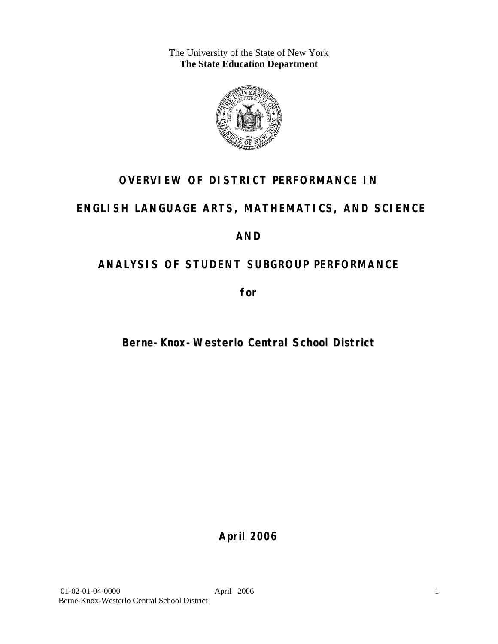The University of the State of New York **The State Education Department** 



# **OVERVIEW OF DISTRICT PERFORMANCE IN**

# **ENGLISH LANGUAGE ARTS, MATHEMATICS, AND SCIENCE**

# **AND**

# **ANALYSIS OF STUDENT SUBGROUP PERFORMANCE**

**for** 

# **Berne-Knox-Westerlo Central School District**

**April 2006**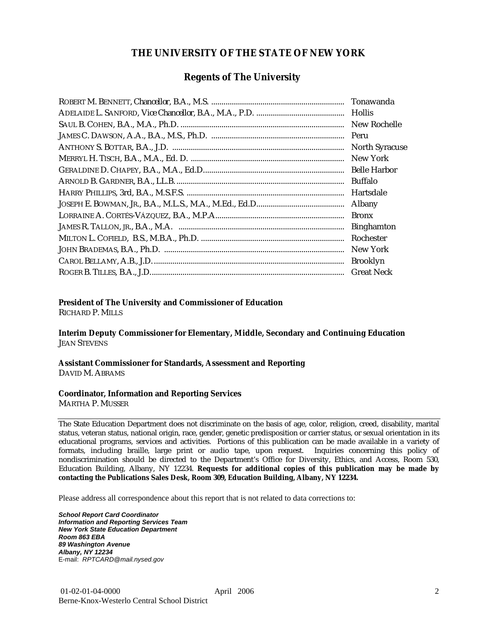### **THE UNIVERSITY OF THE STATE OF NEW YORK**

### **Regents of The University**

| Tonawanda             |
|-----------------------|
| <b>Hollis</b>         |
| New Rochelle          |
|                       |
| <b>North Syracuse</b> |
| New York              |
|                       |
| Buffalo               |
| Hartsdale             |
| Albany                |
| <b>Bronx</b>          |
| <b>Binghamton</b>     |
| Rochester             |
| New York              |
| <b>Brooklyn</b>       |
| <b>Great Neck</b>     |

### **President of The University and Commissioner of Education**

RICHARD P. MILLS

**Interim Deputy Commissioner for Elementary, Middle, Secondary and Continuing Education**  JEAN STEVENS

#### **Assistant Commissioner for Standards, Assessment and Reporting**  DAVID M. ABRAMS

#### **Coordinator, Information and Reporting Services**

MARTHA P. MUSSER

The State Education Department does not discriminate on the basis of age, color, religion, creed, disability, marital status, veteran status, national origin, race, gender, genetic predisposition or carrier status, or sexual orientation in its educational programs, services and activities. Portions of this publication can be made available in a variety of formats, including braille, large print or audio tape, upon request. Inquiries concerning this policy of nondiscrimination should be directed to the Department's Office for Diversity, Ethics, and Access, Room 530, Education Building, Albany, NY 12234. **Requests for additional copies of this publication may be made by contacting the Publications Sales Desk, Room 309, Education Building, Albany, NY 12234.** 

Please address all correspondence about this report that is not related to data corrections to:

*School Report Card Coordinator Information and Reporting Services Team New York State Education Department Room 863 EBA 89 Washington Avenue Albany, NY 12234*  E-mail: *RPTCARD@mail.nysed.gov*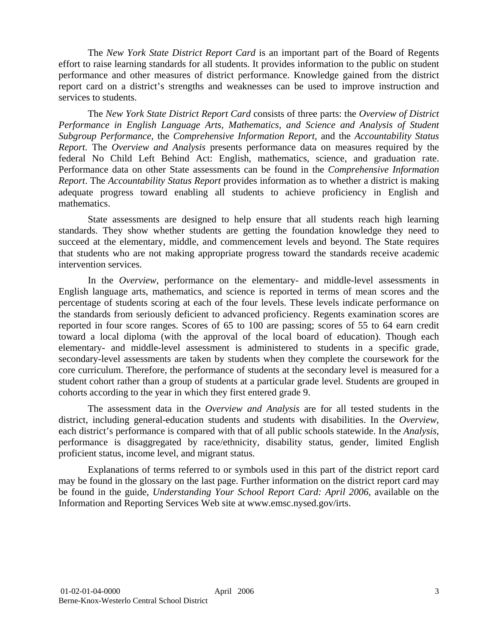The *New York State District Report Card* is an important part of the Board of Regents effort to raise learning standards for all students. It provides information to the public on student performance and other measures of district performance. Knowledge gained from the district report card on a district's strengths and weaknesses can be used to improve instruction and services to students.

The *New York State District Report Card* consists of three parts: the *Overview of District Performance in English Language Arts, Mathematics, and Science and Analysis of Student Subgroup Performance,* the *Comprehensive Information Report,* and the *Accountability Status Report.* The *Overview and Analysis* presents performance data on measures required by the federal No Child Left Behind Act: English, mathematics, science, and graduation rate. Performance data on other State assessments can be found in the *Comprehensive Information Report*. The *Accountability Status Report* provides information as to whether a district is making adequate progress toward enabling all students to achieve proficiency in English and mathematics.

State assessments are designed to help ensure that all students reach high learning standards. They show whether students are getting the foundation knowledge they need to succeed at the elementary, middle, and commencement levels and beyond. The State requires that students who are not making appropriate progress toward the standards receive academic intervention services.

In the *Overview*, performance on the elementary- and middle-level assessments in English language arts, mathematics, and science is reported in terms of mean scores and the percentage of students scoring at each of the four levels. These levels indicate performance on the standards from seriously deficient to advanced proficiency. Regents examination scores are reported in four score ranges. Scores of 65 to 100 are passing; scores of 55 to 64 earn credit toward a local diploma (with the approval of the local board of education). Though each elementary- and middle-level assessment is administered to students in a specific grade, secondary-level assessments are taken by students when they complete the coursework for the core curriculum. Therefore, the performance of students at the secondary level is measured for a student cohort rather than a group of students at a particular grade level. Students are grouped in cohorts according to the year in which they first entered grade 9.

The assessment data in the *Overview and Analysis* are for all tested students in the district, including general-education students and students with disabilities. In the *Overview*, each district's performance is compared with that of all public schools statewide. In the *Analysis*, performance is disaggregated by race/ethnicity, disability status, gender, limited English proficient status, income level, and migrant status.

Explanations of terms referred to or symbols used in this part of the district report card may be found in the glossary on the last page. Further information on the district report card may be found in the guide, *Understanding Your School Report Card: April 2006*, available on the Information and Reporting Services Web site at www.emsc.nysed.gov/irts.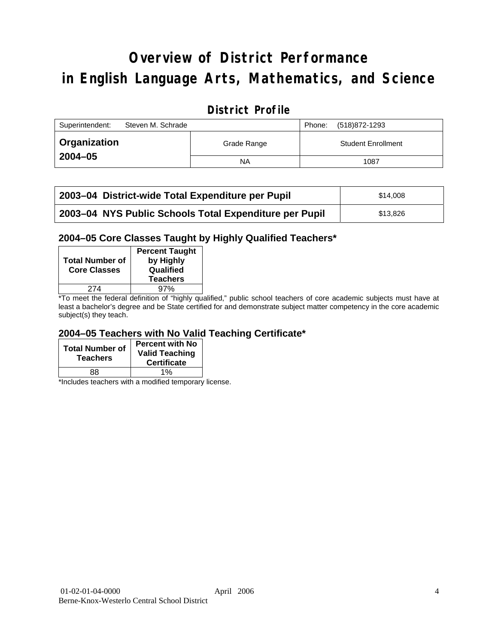# **Overview of District Performance in English Language Arts, Mathematics, and Science**

# **District Profile**

| Superintendent:     | Steven M. Schrade |             | Phone: | (518)872-1293             |
|---------------------|-------------------|-------------|--------|---------------------------|
| <b>Organization</b> |                   | Grade Range |        | <b>Student Enrollment</b> |
| $2004 - 05$         |                   | ΝA          |        | 1087                      |

| 2003-04 District-wide Total Expenditure per Pupil      | \$14,008 |
|--------------------------------------------------------|----------|
| 2003-04 NYS Public Schools Total Expenditure per Pupil | \$13.826 |

### **2004–05 Core Classes Taught by Highly Qualified Teachers\***

| <b>Total Number of</b><br><b>Core Classes</b> | <b>Percent Taught</b><br>by Highly<br>Qualified<br><b>Teachers</b> |
|-----------------------------------------------|--------------------------------------------------------------------|
| 274                                           | 97%                                                                |
|                                               |                                                                    |

\*To meet the federal definition of "highly qualified," public school teachers of core academic subjects must have at least a bachelor's degree and be State certified for and demonstrate subject matter competency in the core academic subject(s) they teach.

### **2004–05 Teachers with No Valid Teaching Certificate\***

| <b>Total Number of</b><br><b>Teachers</b> | <b>Percent with No</b><br><b>Valid Teaching</b><br><b>Certificate</b> |
|-------------------------------------------|-----------------------------------------------------------------------|
| 88                                        | 1%                                                                    |

\*Includes teachers with a modified temporary license.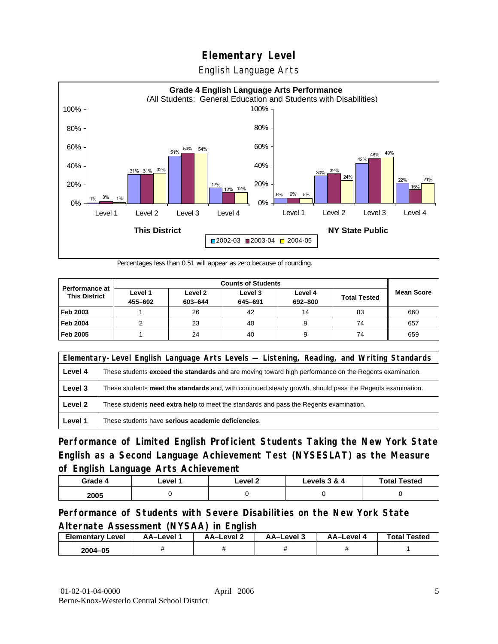English Language Arts



Percentages less than 0.51 will appear as zero because of rounding.

|                                               | <b>Counts of Students</b> |                    |                    |                    |                     |                   |
|-----------------------------------------------|---------------------------|--------------------|--------------------|--------------------|---------------------|-------------------|
| <b>Performance at</b><br><b>This District</b> | Level 1<br>455-602        | Level 2<br>603-644 | Level 3<br>645-691 | Level 4<br>692-800 | <b>Total Tested</b> | <b>Mean Score</b> |
| Feb 2003                                      |                           | 26                 | 42                 | 14                 | 83                  | 660               |
| <b>Feb 2004</b>                               |                           | 23                 | 40                 |                    | 74                  | 657               |
| Feb 2005                                      |                           | 24                 | 40                 |                    | 74                  | 659               |

|         | Elementary-Level English Language Arts Levels — Listening, Reading, and Writing Standards                 |  |  |  |  |
|---------|-----------------------------------------------------------------------------------------------------------|--|--|--|--|
| Level 4 | These students exceed the standards and are moving toward high performance on the Regents examination.    |  |  |  |  |
| Level 3 | These students meet the standards and, with continued steady growth, should pass the Regents examination. |  |  |  |  |
| Level 2 | These students need extra help to meet the standards and pass the Regents examination.                    |  |  |  |  |
| Level 1 | These students have serious academic deficiencies.                                                        |  |  |  |  |

**Performance of Limited English Proficient Students Taking the New York State English as a Second Language Achievement Test (NYSESLAT) as the Measure of English Language Arts Achievement**

| Grade 4 | _evel <i>*</i> | Level 2 | Levels 3 & 4 | <b>Total Tested</b> |
|---------|----------------|---------|--------------|---------------------|
| 2005    |                |         |              |                     |

### **Performance of Students with Severe Disabilities on the New York State Alternate Assessment (NYSAA) in English**

| Elementarv<br>Level | AA-Level | – AA–Level ∠ | AA-Level 3 | AA-Level | <b>Total Tested</b> |
|---------------------|----------|--------------|------------|----------|---------------------|
| 2004-05             |          |              |            |          |                     |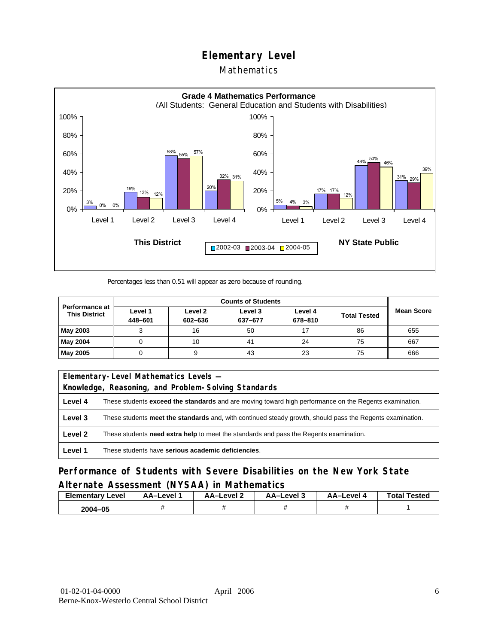### Mathematics



Percentages less than 0.51 will appear as zero because of rounding.

| <b>Counts of Students</b>                     |                    |                    |                    |                    |                     |                   |
|-----------------------------------------------|--------------------|--------------------|--------------------|--------------------|---------------------|-------------------|
| <b>Performance at</b><br><b>This District</b> | Level 1<br>448-601 | Level 2<br>602-636 | Level 3<br>637-677 | Level 4<br>678-810 | <b>Total Tested</b> | <b>Mean Score</b> |
| May 2003                                      |                    | 16                 | 50                 |                    | 86                  | 655               |
| May 2004                                      |                    | 10                 | 41                 | 24                 | 75                  | 667               |
| May 2005                                      |                    |                    | 43                 | 23                 | 75                  | 666               |

|         | Elementary-Level Mathematics Levels -                                                                         |  |  |  |  |
|---------|---------------------------------------------------------------------------------------------------------------|--|--|--|--|
|         | Knowledge, Reasoning, and Problem-Solving Standards                                                           |  |  |  |  |
| Level 4 | These students <b>exceed the standards</b> and are moving toward high performance on the Regents examination. |  |  |  |  |
| Level 3 | These students meet the standards and, with continued steady growth, should pass the Regents examination.     |  |  |  |  |
| Level 2 | These students <b>need extra help</b> to meet the standards and pass the Regents examination.                 |  |  |  |  |
| Level 1 | These students have serious academic deficiencies.                                                            |  |  |  |  |

**Performance of Students with Severe Disabilities on the New York State Alternate Assessment (NYSAA) in Mathematics** 

| <b>Elementary</b><br>Level | AA-Level | AA-Level 2 | AA-Level 3 | AA-Level 4 | <b>Total Tested</b> |
|----------------------------|----------|------------|------------|------------|---------------------|
| 2004-05                    |          |            |            |            |                     |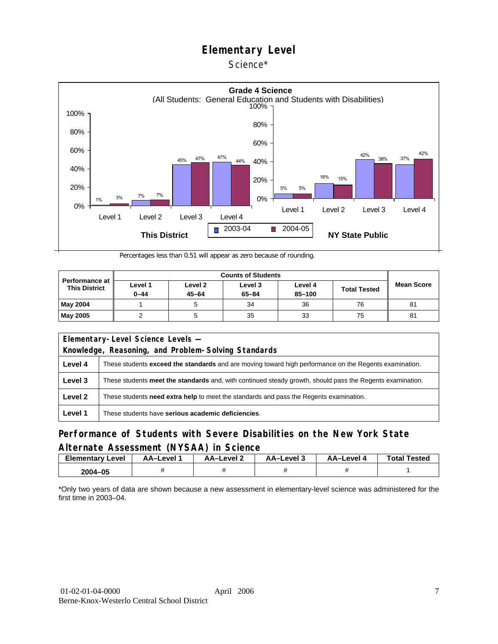### Science\*



Percentages less than 0.51 will appear as zero because of rounding.

| <b>Performance at</b><br><b>This District</b> | Level 1<br>$0 - 44$ | Level 2<br>$45 - 64$ | Level 3<br>$65 - 84$ | Level 4<br>85-100 | <b>Total Tested</b> | <b>Mean Score</b> |
|-----------------------------------------------|---------------------|----------------------|----------------------|-------------------|---------------------|-------------------|
| <b>May 2004</b>                               |                     |                      | 34                   | 36                | 76                  | 81                |
| <b>May 2005</b>                               |                     |                      | 35                   | 33                | 75                  | 81                |

| Elementary-Level Science Levels -                   |                                                                                                               |  |  |  |  |
|-----------------------------------------------------|---------------------------------------------------------------------------------------------------------------|--|--|--|--|
| Knowledge, Reasoning, and Problem-Solving Standards |                                                                                                               |  |  |  |  |
| Level 4                                             | These students <b>exceed the standards</b> and are moving toward high performance on the Regents examination. |  |  |  |  |
| Level 3                                             | These students meet the standards and, with continued steady growth, should pass the Regents examination.     |  |  |  |  |
| Level 2                                             | These students <b>need extra help</b> to meet the standards and pass the Regents examination.                 |  |  |  |  |
| Level 1                                             | These students have serious academic deficiencies.                                                            |  |  |  |  |

### **Performance of Students with Severe Disabilities on the New York State Alternate Assessment (NYSAA) in Science**

| Elementary<br>Level | AA-Level " | <b>AA-Level 2</b> | AA-Level 3 | AA-Level 4 | <b>Total Tested</b> |
|---------------------|------------|-------------------|------------|------------|---------------------|
| 2004-05             |            |                   |            |            |                     |

\*Only two years of data are shown because a new assessment in elementary-level science was administered for the first time in 2003–04.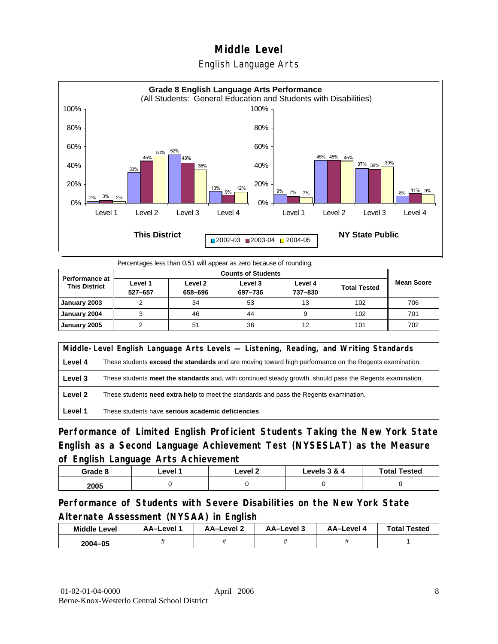



Percentages less than 0.51 will appear as zero because of rounding.

|                                               |                    | <b>Counts of Students</b> |                    |                    |                     |                   |  |  |
|-----------------------------------------------|--------------------|---------------------------|--------------------|--------------------|---------------------|-------------------|--|--|
| <b>Performance at</b><br><b>This District</b> | Level 1<br>527-657 | Level 2<br>658-696        | Level 3<br>697-736 | Level 4<br>737-830 | <b>Total Tested</b> | <b>Mean Score</b> |  |  |
| January 2003                                  |                    | 34                        | 53                 | 13                 | 102                 | 706               |  |  |
| January 2004                                  |                    | 46                        | 44                 |                    | 102                 | 701               |  |  |
| January 2005                                  |                    | 51                        | 36                 | 12                 | 101                 | 702               |  |  |

|         | Middle-Level English Language Arts Levels — Listening, Reading, and Writing Standards                     |  |  |  |  |
|---------|-----------------------------------------------------------------------------------------------------------|--|--|--|--|
| Level 4 | These students exceed the standards and are moving toward high performance on the Regents examination.    |  |  |  |  |
| Level 3 | These students meet the standards and, with continued steady growth, should pass the Regents examination. |  |  |  |  |
| Level 2 | These students <b>need extra help</b> to meet the standards and pass the Regents examination.             |  |  |  |  |
| Level 1 | These students have serious academic deficiencies.                                                        |  |  |  |  |

**Performance of Limited English Proficient Students Taking the New York State English as a Second Language Achievement Test (NYSESLAT) as the Measure of English Language Arts Achievement**

| Grade 8 | _evel ′ | Level 2 | Levels 3 & 4 | <b>Total Tested</b> |
|---------|---------|---------|--------------|---------------------|
| 2005    |         |         |              |                     |

**Performance of Students with Severe Disabilities on the New York State Alternate Assessment (NYSAA) in English** 

| <b>Middle Level</b> | AA-Level | AA-Level 2 | AA-Level 3 | AA-Level 4 | <b>Total Tested</b> |
|---------------------|----------|------------|------------|------------|---------------------|
| 2004-05             | .,       |            |            |            |                     |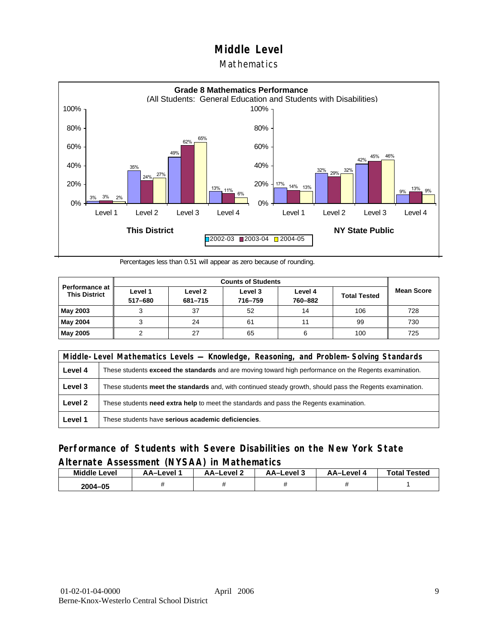### Mathematics



Percentages less than 0.51 will appear as zero because of rounding.

|                                               |                    | <b>Counts of Students</b> |                    |                    |                     |                   |  |  |  |
|-----------------------------------------------|--------------------|---------------------------|--------------------|--------------------|---------------------|-------------------|--|--|--|
| <b>Performance at</b><br><b>This District</b> | Level 1<br>517-680 | Level 2<br>681-715        | Level 3<br>716-759 | Level 4<br>760-882 | <b>Total Tested</b> | <b>Mean Score</b> |  |  |  |
| May 2003                                      |                    | 37                        | 52                 | 14                 | 106                 | 728               |  |  |  |
| May 2004                                      |                    | 24                        | 61                 | 11                 | 99                  | 730               |  |  |  |
| May 2005                                      |                    | 27                        | 65                 |                    | 100                 | 725               |  |  |  |

|         | Middle-Level Mathematics Levels — Knowledge, Reasoning, and Problem-Solving Standards                         |  |  |  |  |
|---------|---------------------------------------------------------------------------------------------------------------|--|--|--|--|
| Level 4 | These students <b>exceed the standards</b> and are moving toward high performance on the Regents examination. |  |  |  |  |
| Level 3 | These students meet the standards and, with continued steady growth, should pass the Regents examination.     |  |  |  |  |
| Level 2 | These students need extra help to meet the standards and pass the Regents examination.                        |  |  |  |  |
| Level 1 | These students have serious academic deficiencies.                                                            |  |  |  |  |

### **Performance of Students with Severe Disabilities on the New York State Alternate Assessment (NYSAA) in Mathematics**

| <b>Middle Level</b> | AA-Level | <b>AA-Level 2</b> | AA-Level 3 | AA-Level 4 | <b>Total Tested</b> |
|---------------------|----------|-------------------|------------|------------|---------------------|
| 2004-05             |          |                   |            |            |                     |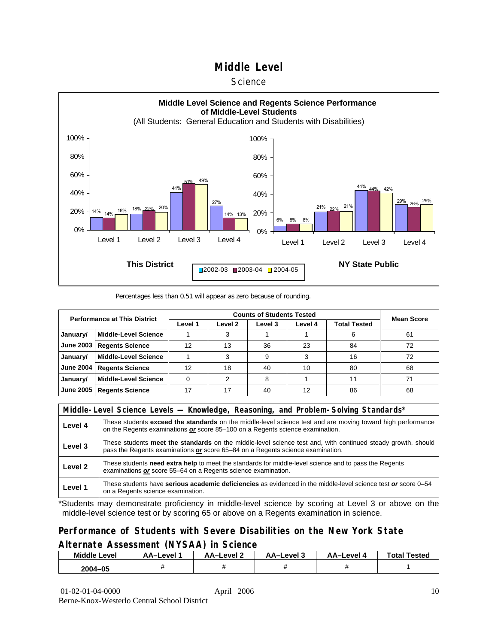#### **Science**



#### Percentages less than 0.51 will appear as zero because of rounding.

| <b>Performance at This District</b> |                             |         | <b>Mean Score</b> |         |         |              |    |
|-------------------------------------|-----------------------------|---------|-------------------|---------|---------|--------------|----|
|                                     |                             | Level 1 | Level 2           | Level 3 | Level 4 | Total Tested |    |
| January/                            | <b>Middle-Level Science</b> |         |                   |         |         | 6            | 61 |
| <b>June 2003</b>                    | <b>Regents Science</b>      | 12      | 13                | 36      | 23      | 84           | 72 |
| January/                            | <b>Middle-Level Science</b> |         |                   | 9       | 3       | 16           | 72 |
| <b>June 2004</b>                    | <b>Regents Science</b>      | 12      | 18                | 40      | 10      | 80           | 68 |
| January/                            | <b>Middle-Level Science</b> |         | 2                 | 8       |         | 11           | 71 |
| <b>June 2005</b>                    | <b>Regents Science</b>      | 17      | 17                | 40      | 12      | 86           | 68 |

|         | Middle-Level Science Levels — Knowledge, Reasoning, and Problem-Solving Standards*                                                                                                                  |  |  |  |  |
|---------|-----------------------------------------------------------------------------------------------------------------------------------------------------------------------------------------------------|--|--|--|--|
| Level 4 | These students <b>exceed the standards</b> on the middle-level science test and are moving toward high performance<br>on the Regents examinations or score 85-100 on a Regents science examination. |  |  |  |  |
| Level 3 | These students meet the standards on the middle-level science test and, with continued steady growth, should<br>pass the Regents examinations or score 65–84 on a Regents science examination.      |  |  |  |  |
| Level 2 | These students need extra help to meet the standards for middle-level science and to pass the Regents<br>examinations or score 55–64 on a Regents science examination.                              |  |  |  |  |
| Level 1 | These students have serious academic deficiencies as evidenced in the middle-level science test or score 0-54<br>on a Regents science examination.                                                  |  |  |  |  |

\*Students may demonstrate proficiency in middle-level science by scoring at Level 3 or above on the middle-level science test or by scoring 65 or above on a Regents examination in science.

### **Performance of Students with Severe Disabilities on the New York State Alternate Assessment (NYSAA) in Science**

| <b>Middle Level</b> | AA-Level | AA-Level 2 | AA–Level 3 | AA-Level 4 | <b>Total Tested</b> |
|---------------------|----------|------------|------------|------------|---------------------|
| 2004-05             |          |            |            |            |                     |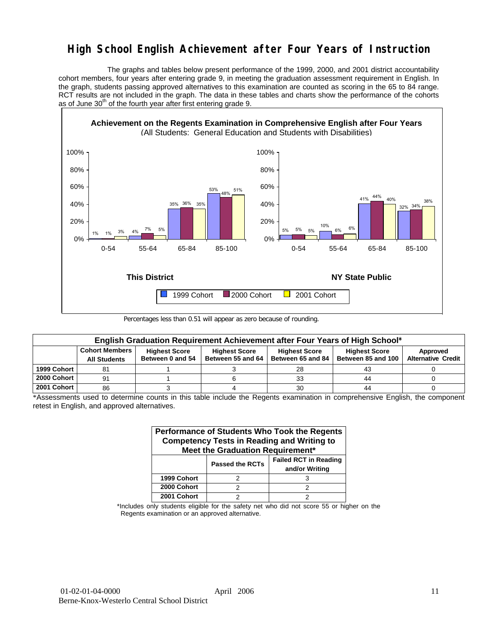# **High School English Achievement after Four Years of Instruction**

 The graphs and tables below present performance of the 1999, 2000, and 2001 district accountability cohort members, four years after entering grade 9, in meeting the graduation assessment requirement in English. In the graph, students passing approved alternatives to this examination are counted as scoring in the 65 to 84 range. RCT results are not included in the graph. The data in these tables and charts show the performance of the cohorts as of June  $30<sup>th</sup>$  of the fourth year after first entering grade 9.



Percentages less than 0.51 will appear as zero because of rounding.

|             | English Graduation Requirement Achievement after Four Years of High School* |                      |                      |                      |                      |                           |  |  |  |  |  |  |
|-------------|-----------------------------------------------------------------------------|----------------------|----------------------|----------------------|----------------------|---------------------------|--|--|--|--|--|--|
|             | <b>Cohort Members</b>                                                       | <b>Highest Score</b> | <b>Highest Score</b> | <b>Highest Score</b> | <b>Highest Score</b> | Approved                  |  |  |  |  |  |  |
|             | <b>All Students</b>                                                         | Between 0 and 54     | Between 55 and 64    | Between 65 and 84    | Between 85 and 100   | <b>Alternative Credit</b> |  |  |  |  |  |  |
| 1999 Cohort | 81                                                                          |                      |                      | 28                   | 43                   |                           |  |  |  |  |  |  |
| 2000 Cohort | 91                                                                          |                      |                      | 33                   | 44                   |                           |  |  |  |  |  |  |
| 2001 Cohort | 86                                                                          |                      |                      | 30                   | 44                   |                           |  |  |  |  |  |  |

\*Assessments used to determine counts in this table include the Regents examination in comprehensive English, the component retest in English, and approved alternatives.

| Performance of Students Who Took the Regents<br><b>Competency Tests in Reading and Writing to</b><br>Meet the Graduation Requirement* |                        |                                                |  |  |  |  |  |  |  |
|---------------------------------------------------------------------------------------------------------------------------------------|------------------------|------------------------------------------------|--|--|--|--|--|--|--|
|                                                                                                                                       | <b>Passed the RCTs</b> | <b>Failed RCT in Reading</b><br>and/or Writing |  |  |  |  |  |  |  |
| 1999 Cohort                                                                                                                           |                        |                                                |  |  |  |  |  |  |  |
| 2000 Cohort                                                                                                                           | 2                      |                                                |  |  |  |  |  |  |  |
| 2001 Cohort                                                                                                                           |                        |                                                |  |  |  |  |  |  |  |

\*Includes only students eligible for the safety net who did not score 55 or higher on the Regents examination or an approved alternative.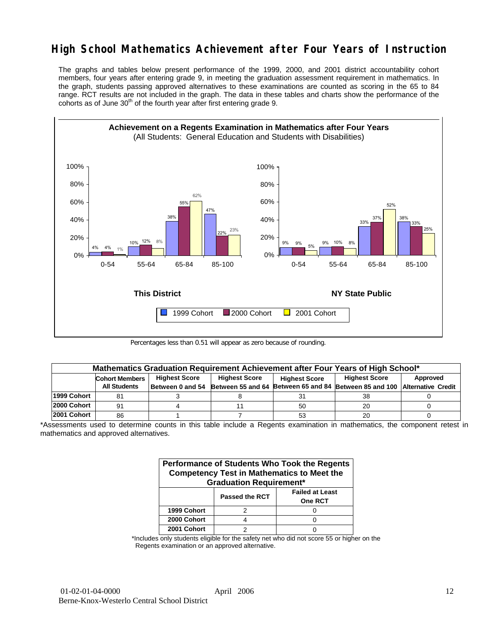# **High School Mathematics Achievement after Four Years of Instruction**

The graphs and tables below present performance of the 1999, 2000, and 2001 district accountability cohort members, four years after entering grade 9, in meeting the graduation assessment requirement in mathematics. In the graph, students passing approved alternatives to these examinations are counted as scoring in the 65 to 84 range. RCT results are not included in the graph. The data in these tables and charts show the performance of the cohorts as of June  $30<sup>th</sup>$  of the fourth year after first entering grade 9.



Percentages less than 0.51 will appear as zero because of rounding.

|             | Mathematics Graduation Requirement Achievement after Four Years of High School* |                                              |                                    |                      |                                                         |          |  |  |  |  |  |
|-------------|---------------------------------------------------------------------------------|----------------------------------------------|------------------------------------|----------------------|---------------------------------------------------------|----------|--|--|--|--|--|
|             | <b>Cohort Members</b>                                                           | <b>Highest Score</b><br><b>Highest Score</b> |                                    | <b>Highest Score</b> | <b>Highest Score</b>                                    | Approved |  |  |  |  |  |
|             | <b>All Students</b>                                                             |                                              | Between 0 and 54 Between 55 and 64 |                      | Between 65 and 84 Between 85 and 100 Alternative Credit |          |  |  |  |  |  |
| 1999 Cohort |                                                                                 |                                              |                                    | 31                   | 38                                                      |          |  |  |  |  |  |
| 2000 Cohort | 91                                                                              |                                              |                                    | 50                   | 20                                                      |          |  |  |  |  |  |
| 2001 Cohort | 86                                                                              |                                              |                                    | 53                   | 20                                                      |          |  |  |  |  |  |

\*Assessments used to determine counts in this table include a Regents examination in mathematics, the component retest in mathematics and approved alternatives.

| Performance of Students Who Took the Regents<br><b>Competency Test in Mathematics to Meet the</b><br><b>Graduation Requirement*</b> |                |                                   |  |  |  |  |  |  |
|-------------------------------------------------------------------------------------------------------------------------------------|----------------|-----------------------------------|--|--|--|--|--|--|
|                                                                                                                                     | Passed the RCT | <b>Failed at Least</b><br>One RCT |  |  |  |  |  |  |
| 1999 Cohort                                                                                                                         |                |                                   |  |  |  |  |  |  |
| 2000 Cohort                                                                                                                         |                |                                   |  |  |  |  |  |  |
| 2001 Cohort                                                                                                                         |                |                                   |  |  |  |  |  |  |

\*Includes only students eligible for the safety net who did not score 55 or higher on the Regents examination or an approved alternative.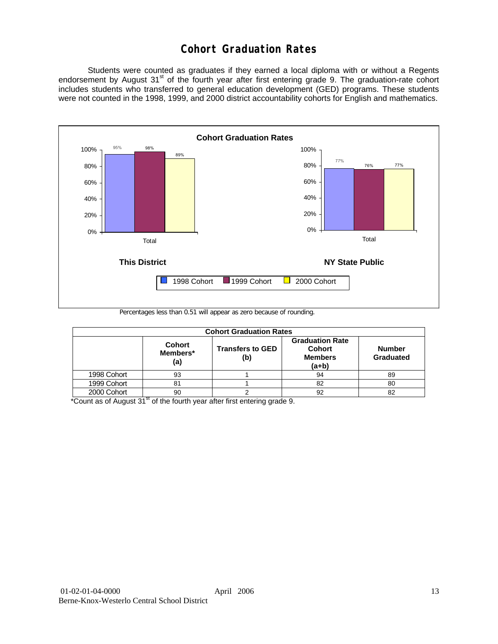# **Cohort Graduation Rates**

 Students were counted as graduates if they earned a local diploma with or without a Regents endorsement by August 31<sup>st</sup> of the fourth year after first entering grade 9. The graduation-rate cohort includes students who transferred to general education development (GED) programs. These students were not counted in the 1998, 1999, and 2000 district accountability cohorts for English and mathematics.



Percentages less than 0.51 will appear as zero because of rounding.

| <b>Cohort Graduation Rates</b> |                                  |                                |                                                                      |                            |  |  |  |  |  |  |
|--------------------------------|----------------------------------|--------------------------------|----------------------------------------------------------------------|----------------------------|--|--|--|--|--|--|
|                                | <b>Cohort</b><br>Members*<br>(a) | <b>Transfers to GED</b><br>(b) | <b>Graduation Rate</b><br><b>Cohort</b><br><b>Members</b><br>$(a+b)$ | <b>Number</b><br>Graduated |  |  |  |  |  |  |
| 1998 Cohort                    | 93                               |                                | 94                                                                   | 89                         |  |  |  |  |  |  |
| 1999 Cohort                    | 81                               |                                | 82                                                                   | 80                         |  |  |  |  |  |  |
| 2000 Cohort                    | 90                               |                                | 92                                                                   | 82                         |  |  |  |  |  |  |

 $*$ Count as of August 31 $*$  of the fourth year after first entering grade 9.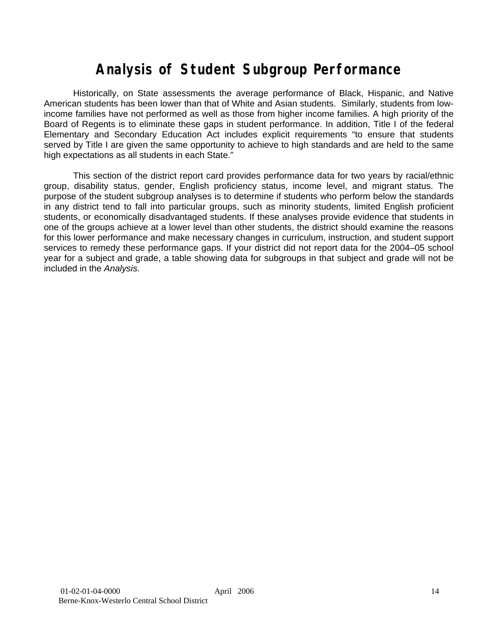# **Analysis of Student Subgroup Performance**

Historically, on State assessments the average performance of Black, Hispanic, and Native American students has been lower than that of White and Asian students. Similarly, students from lowincome families have not performed as well as those from higher income families. A high priority of the Board of Regents is to eliminate these gaps in student performance. In addition, Title I of the federal Elementary and Secondary Education Act includes explicit requirements "to ensure that students served by Title I are given the same opportunity to achieve to high standards and are held to the same high expectations as all students in each State."

This section of the district report card provides performance data for two years by racial/ethnic group, disability status, gender, English proficiency status, income level, and migrant status. The purpose of the student subgroup analyses is to determine if students who perform below the standards in any district tend to fall into particular groups, such as minority students, limited English proficient students, or economically disadvantaged students. If these analyses provide evidence that students in one of the groups achieve at a lower level than other students, the district should examine the reasons for this lower performance and make necessary changes in curriculum, instruction, and student support services to remedy these performance gaps. If your district did not report data for the 2004–05 school year for a subject and grade, a table showing data for subgroups in that subject and grade will not be included in the *Analysis*.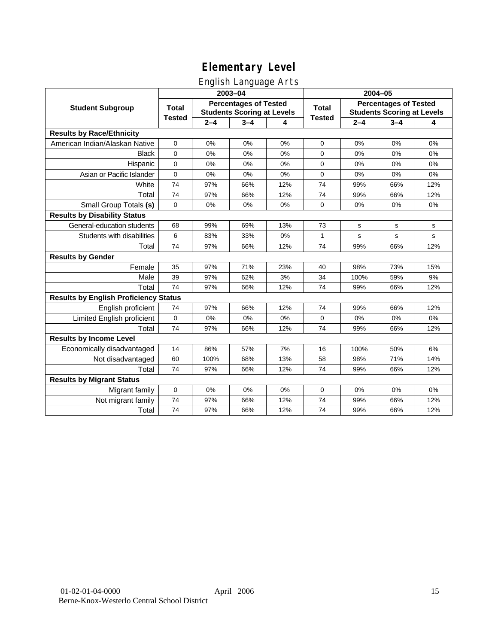# English Language Arts

|                                              |               |         | ັ<br>2003-04                                                      |     | 2004-05       |         |                                                                   |     |  |
|----------------------------------------------|---------------|---------|-------------------------------------------------------------------|-----|---------------|---------|-------------------------------------------------------------------|-----|--|
| <b>Student Subgroup</b>                      | <b>Total</b>  |         | <b>Percentages of Tested</b><br><b>Students Scoring at Levels</b> |     | <b>Total</b>  |         | <b>Percentages of Tested</b><br><b>Students Scoring at Levels</b> |     |  |
|                                              | <b>Tested</b> | $2 - 4$ | $3 - 4$                                                           | 4   | <b>Tested</b> | $2 - 4$ | $3 - 4$                                                           | 4   |  |
| <b>Results by Race/Ethnicity</b>             |               |         |                                                                   |     |               |         |                                                                   |     |  |
| American Indian/Alaskan Native               | 0             | 0%      | 0%                                                                | 0%  | $\mathbf 0$   | 0%      | 0%                                                                | 0%  |  |
| <b>Black</b>                                 | $\mathbf 0$   | 0%      | 0%                                                                | 0%  | 0             | 0%      | 0%                                                                | 0%  |  |
| Hispanic                                     | 0             | 0%      | 0%                                                                | 0%  | 0             | 0%      | 0%                                                                | 0%  |  |
| Asian or Pacific Islander                    | 0             | 0%      | 0%                                                                | 0%  | 0             | 0%      | 0%                                                                | 0%  |  |
| White                                        | 74            | 97%     | 66%                                                               | 12% | 74            | 99%     | 66%                                                               | 12% |  |
| Total                                        | 74            | 97%     | 66%                                                               | 12% | 74            | 99%     | 66%                                                               | 12% |  |
| Small Group Totals (s)                       | 0             | 0%      | 0%                                                                | 0%  | 0             | 0%      | 0%                                                                | 0%  |  |
| <b>Results by Disability Status</b>          |               |         |                                                                   |     |               |         |                                                                   |     |  |
| General-education students                   | 68            | 99%     | 69%                                                               | 13% | 73            | s       | s                                                                 | s   |  |
| Students with disabilities                   | 6             | 83%     | 33%                                                               | 0%  | $\mathbf{1}$  | s       | s                                                                 | s   |  |
| Total                                        | 74            | 97%     | 66%                                                               | 12% | 74            | 99%     | 66%                                                               | 12% |  |
| <b>Results by Gender</b>                     |               |         |                                                                   |     |               |         |                                                                   |     |  |
| Female                                       | 35            | 97%     | 71%                                                               | 23% | 40            | 98%     | 73%                                                               | 15% |  |
| Male                                         | 39            | 97%     | 62%                                                               | 3%  | 34            | 100%    | 59%                                                               | 9%  |  |
| Total                                        | 74            | 97%     | 66%                                                               | 12% | 74            | 99%     | 66%                                                               | 12% |  |
| <b>Results by English Proficiency Status</b> |               |         |                                                                   |     |               |         |                                                                   |     |  |
| English proficient                           | 74            | 97%     | 66%                                                               | 12% | 74            | 99%     | 66%                                                               | 12% |  |
| Limited English proficient                   | $\mathbf 0$   | 0%      | 0%                                                                | 0%  | 0             | 0%      | 0%                                                                | 0%  |  |
| Total                                        | 74            | 97%     | 66%                                                               | 12% | 74            | 99%     | 66%                                                               | 12% |  |
| <b>Results by Income Level</b>               |               |         |                                                                   |     |               |         |                                                                   |     |  |
| Economically disadvantaged                   | 14            | 86%     | 57%                                                               | 7%  | 16            | 100%    | 50%                                                               | 6%  |  |
| Not disadvantaged                            | 60            | 100%    | 68%                                                               | 13% | 58            | 98%     | 71%                                                               | 14% |  |
| Total                                        | 74            | 97%     | 66%                                                               | 12% | 74            | 99%     | 66%                                                               | 12% |  |
| <b>Results by Migrant Status</b>             |               |         |                                                                   |     |               |         |                                                                   |     |  |
| Migrant family                               | $\mathbf 0$   | 0%      | 0%                                                                | 0%  | 0             | 0%      | 0%                                                                | 0%  |  |
| Not migrant family                           | 74            | 97%     | 66%                                                               | 12% | 74            | 99%     | 66%                                                               | 12% |  |
| Total                                        | 74            | 97%     | 66%                                                               | 12% | 74            | 99%     | 66%                                                               | 12% |  |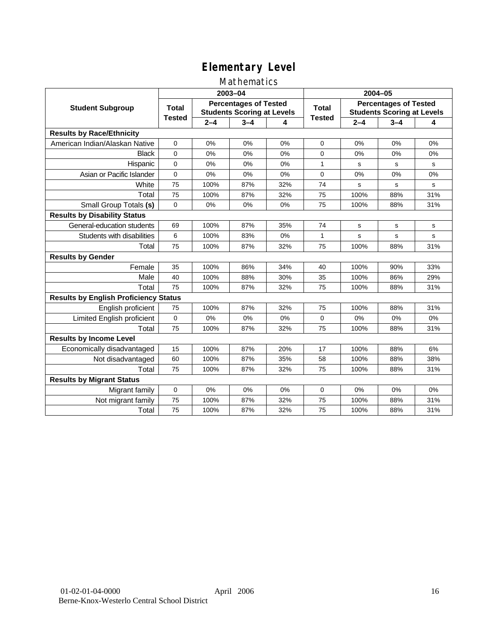### Mathematics

|                                              |               |         | 2003-04                                                           |     | 2004-05       |             |                                                                   |             |
|----------------------------------------------|---------------|---------|-------------------------------------------------------------------|-----|---------------|-------------|-------------------------------------------------------------------|-------------|
| <b>Student Subgroup</b>                      | <b>Total</b>  |         | <b>Percentages of Tested</b><br><b>Students Scoring at Levels</b> |     | Total         |             | <b>Percentages of Tested</b><br><b>Students Scoring at Levels</b> |             |
|                                              | <b>Tested</b> | $2 - 4$ | $3 - 4$                                                           | 4   | <b>Tested</b> | $2 - 4$     | $3 - 4$                                                           | 4           |
| <b>Results by Race/Ethnicity</b>             |               |         |                                                                   |     |               |             |                                                                   |             |
| American Indian/Alaskan Native               | $\mathbf{0}$  | 0%      | 0%                                                                | 0%  | $\mathbf 0$   | 0%          | 0%                                                                | 0%          |
| <b>Black</b>                                 | $\Omega$      | 0%      | 0%                                                                | 0%  | $\Omega$      | 0%          | 0%                                                                | 0%          |
| Hispanic                                     | $\Omega$      | 0%      | 0%                                                                | 0%  | $\mathbf{1}$  | s           | s                                                                 | s           |
| Asian or Pacific Islander                    | $\mathbf{0}$  | 0%      | 0%                                                                | 0%  | $\mathbf 0$   | 0%          | 0%                                                                | 0%          |
| White                                        | 75            | 100%    | 87%                                                               | 32% | 74            | $\mathbf s$ | s                                                                 | $\mathbf s$ |
| Total                                        | 75            | 100%    | 87%                                                               | 32% | 75            | 100%        | 88%                                                               | 31%         |
| Small Group Totals (s)                       | $\mathbf 0$   | 0%      | 0%                                                                | 0%  | 75            | 100%        | 88%                                                               | 31%         |
| <b>Results by Disability Status</b>          |               |         |                                                                   |     |               |             |                                                                   |             |
| General-education students                   | 69            | 100%    | 87%                                                               | 35% | 74            | s           | s                                                                 | s           |
| Students with disabilities                   | 6             | 100%    | 83%                                                               | 0%  | 1             | s           | s                                                                 | $\mathbf s$ |
| Total                                        | 75            | 100%    | 87%                                                               | 32% | 75            | 100%        | 88%                                                               | 31%         |
| <b>Results by Gender</b>                     |               |         |                                                                   |     |               |             |                                                                   |             |
| Female                                       | 35            | 100%    | 86%                                                               | 34% | 40            | 100%        | 90%                                                               | 33%         |
| Male                                         | 40            | 100%    | 88%                                                               | 30% | 35            | 100%        | 86%                                                               | 29%         |
| Total                                        | 75            | 100%    | 87%                                                               | 32% | 75            | 100%        | 88%                                                               | 31%         |
| <b>Results by English Proficiency Status</b> |               |         |                                                                   |     |               |             |                                                                   |             |
| English proficient                           | 75            | 100%    | 87%                                                               | 32% | 75            | 100%        | 88%                                                               | 31%         |
| Limited English proficient                   | 0             | 0%      | 0%                                                                | 0%  | $\mathbf 0$   | 0%          | 0%                                                                | 0%          |
| Total                                        | 75            | 100%    | 87%                                                               | 32% | 75            | 100%        | 88%                                                               | 31%         |
| <b>Results by Income Level</b>               |               |         |                                                                   |     |               |             |                                                                   |             |
| Economically disadvantaged                   | 15            | 100%    | 87%                                                               | 20% | 17            | 100%        | 88%                                                               | 6%          |
| Not disadvantaged                            | 60            | 100%    | 87%                                                               | 35% | 58            | 100%        | 88%                                                               | 38%         |
| Total                                        | 75            | 100%    | 87%                                                               | 32% | 75            | 100%        | 88%                                                               | 31%         |
| <b>Results by Migrant Status</b>             |               |         |                                                                   |     |               |             |                                                                   |             |
| Migrant family                               | 0             | 0%      | 0%                                                                | 0%  | 0             | 0%          | 0%                                                                | 0%          |
| Not migrant family                           | 75            | 100%    | 87%                                                               | 32% | 75            | 100%        | 88%                                                               | 31%         |
| Total                                        | 75            | 100%    | 87%                                                               | 32% | 75            | 100%        | 88%                                                               | 31%         |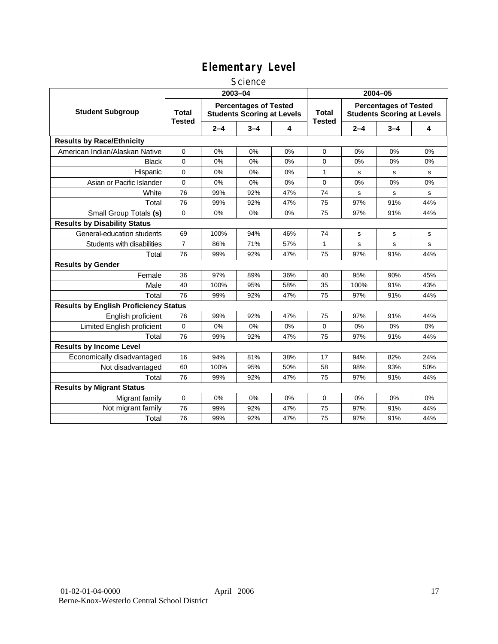### **Science**

|                                              |                               |         | 2003-04                                                           |     | 2004-05                       |         |                                                                   |       |
|----------------------------------------------|-------------------------------|---------|-------------------------------------------------------------------|-----|-------------------------------|---------|-------------------------------------------------------------------|-------|
| <b>Student Subgroup</b>                      | <b>Total</b><br><b>Tested</b> |         | <b>Percentages of Tested</b><br><b>Students Scoring at Levels</b> |     | <b>Total</b><br><b>Tested</b> |         | <b>Percentages of Tested</b><br><b>Students Scoring at Levels</b> |       |
|                                              |                               | $2 - 4$ | $3 - 4$                                                           | 4   |                               | $2 - 4$ | $3 - 4$                                                           | 4     |
| <b>Results by Race/Ethnicity</b>             |                               |         |                                                                   |     |                               |         |                                                                   |       |
| American Indian/Alaskan Native               | 0                             | 0%      | 0%                                                                | 0%  | 0                             | 0%      | 0%                                                                | 0%    |
| <b>Black</b>                                 | $\overline{0}$                | 0%      | 0%                                                                | 0%  | $\Omega$                      | 0%      | 0%                                                                | 0%    |
| Hispanic                                     | 0                             | 0%      | 0%                                                                | 0%  | 1                             | s       | s                                                                 | s     |
| Asian or Pacific Islander                    | 0                             | 0%      | 0%                                                                | 0%  | 0                             | 0%      | 0%                                                                | 0%    |
| White                                        | 76                            | 99%     | 92%                                                               | 47% | 74                            | s       | s                                                                 | s     |
| Total                                        | 76                            | 99%     | 92%                                                               | 47% | 75                            | 97%     | 91%                                                               | 44%   |
| Small Group Totals (s)                       | $\mathbf 0$                   | 0%      | 0%                                                                | 0%  | 75                            | 97%     | 91%                                                               | 44%   |
| <b>Results by Disability Status</b>          |                               |         |                                                                   |     |                               |         |                                                                   |       |
| General-education students                   | 69                            | 100%    | 94%                                                               | 46% | 74                            | s       | s                                                                 | s     |
| Students with disabilities                   | $\overline{7}$                | 86%     | 71%                                                               | 57% | 1                             | s       | s                                                                 | s     |
| Total                                        | 76                            | 99%     | 92%                                                               | 47% | 75                            | 97%     | 91%                                                               | 44%   |
| <b>Results by Gender</b>                     |                               |         |                                                                   |     |                               |         |                                                                   |       |
| Female                                       | 36                            | 97%     | 89%                                                               | 36% | 40                            | 95%     | 90%                                                               | 45%   |
| Male                                         | 40                            | 100%    | 95%                                                               | 58% | 35                            | 100%    | 91%                                                               | 43%   |
| Total                                        | 76                            | 99%     | 92%                                                               | 47% | 75                            | 97%     | 91%                                                               | 44%   |
| <b>Results by English Proficiency Status</b> |                               |         |                                                                   |     |                               |         |                                                                   |       |
| English proficient                           | 76                            | 99%     | 92%                                                               | 47% | 75                            | 97%     | 91%                                                               | 44%   |
| Limited English proficient                   | 0                             | 0%      | 0%                                                                | 0%  | 0                             | 0%      | 0%                                                                | 0%    |
| Total                                        | 76                            | 99%     | 92%                                                               | 47% | 75                            | 97%     | 91%                                                               | 44%   |
| <b>Results by Income Level</b>               |                               |         |                                                                   |     |                               |         |                                                                   |       |
| Economically disadvantaged                   | 16                            | 94%     | 81%                                                               | 38% | 17                            | 94%     | 82%                                                               | 24%   |
| Not disadvantaged                            | 60                            | 100%    | 95%                                                               | 50% | 58                            | 98%     | 93%                                                               | 50%   |
| Total                                        | 76                            | 99%     | 92%                                                               | 47% | 75                            | 97%     | 91%                                                               | 44%   |
| <b>Results by Migrant Status</b>             |                               |         |                                                                   |     |                               |         |                                                                   |       |
| Migrant family                               | 0                             | 0%      | 0%                                                                | 0%  | 0                             | 0%      | 0%                                                                | $0\%$ |
| Not migrant family                           | 76                            | 99%     | 92%                                                               | 47% | 75                            | 97%     | 91%                                                               | 44%   |
| Total                                        | 76                            | 99%     | 92%                                                               | 47% | 75                            | 97%     | 91%                                                               | 44%   |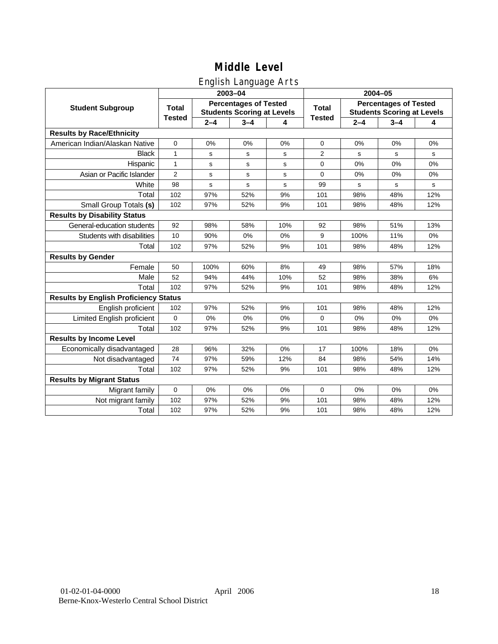# English Language Arts

|                                              |                |         | 2003-04                                                           |     | 2004-05       |         |                                                                   |     |  |
|----------------------------------------------|----------------|---------|-------------------------------------------------------------------|-----|---------------|---------|-------------------------------------------------------------------|-----|--|
| <b>Student Subgroup</b>                      | <b>Total</b>   |         | <b>Percentages of Tested</b><br><b>Students Scoring at Levels</b> |     | <b>Total</b>  |         | <b>Percentages of Tested</b><br><b>Students Scoring at Levels</b> |     |  |
|                                              | <b>Tested</b>  | $2 - 4$ | $3 - 4$                                                           | 4   | <b>Tested</b> | $2 - 4$ | $3 - 4$                                                           | 4   |  |
| <b>Results by Race/Ethnicity</b>             |                |         |                                                                   |     |               |         |                                                                   |     |  |
| American Indian/Alaskan Native               | $\mathbf 0$    | 0%      | 0%                                                                | 0%  | $\mathbf 0$   | 0%      | 0%                                                                | 0%  |  |
| <b>Black</b>                                 | 1              | s       | s                                                                 | s   | 2             | s       | s                                                                 | s   |  |
| Hispanic                                     | $\mathbf{1}$   | s       | s                                                                 | s   | 0             | 0%      | 0%                                                                | 0%  |  |
| Asian or Pacific Islander                    | $\overline{2}$ | s       | s                                                                 | s   | $\mathbf 0$   | 0%      | 0%                                                                | 0%  |  |
| White                                        | 98             | s       | $\mathbf s$                                                       | s   | 99            | s       | s                                                                 | s   |  |
| Total                                        | 102            | 97%     | 52%                                                               | 9%  | 101           | 98%     | 48%                                                               | 12% |  |
| Small Group Totals (s)                       | 102            | 97%     | 52%                                                               | 9%  | 101           | 98%     | 48%                                                               | 12% |  |
| <b>Results by Disability Status</b>          |                |         |                                                                   |     |               |         |                                                                   |     |  |
| General-education students                   | 92             | 98%     | 58%                                                               | 10% | 92            | 98%     | 51%                                                               | 13% |  |
| Students with disabilities                   | 10             | 90%     | 0%                                                                | 0%  | 9             | 100%    | 11%                                                               | 0%  |  |
| Total                                        | 102            | 97%     | 52%                                                               | 9%  | 101           | 98%     | 48%                                                               | 12% |  |
| <b>Results by Gender</b>                     |                |         |                                                                   |     |               |         |                                                                   |     |  |
| Female                                       | 50             | 100%    | 60%                                                               | 8%  | 49            | 98%     | 57%                                                               | 18% |  |
| Male                                         | 52             | 94%     | 44%                                                               | 10% | 52            | 98%     | 38%                                                               | 6%  |  |
| Total                                        | 102            | 97%     | 52%                                                               | 9%  | 101           | 98%     | 48%                                                               | 12% |  |
| <b>Results by English Proficiency Status</b> |                |         |                                                                   |     |               |         |                                                                   |     |  |
| English proficient                           | 102            | 97%     | 52%                                                               | 9%  | 101           | 98%     | 48%                                                               | 12% |  |
| Limited English proficient                   | $\Omega$       | 0%      | 0%                                                                | 0%  | $\Omega$      | 0%      | 0%                                                                | 0%  |  |
| Total                                        | 102            | 97%     | 52%                                                               | 9%  | 101           | 98%     | 48%                                                               | 12% |  |
| <b>Results by Income Level</b>               |                |         |                                                                   |     |               |         |                                                                   |     |  |
| Economically disadvantaged                   | 28             | 96%     | 32%                                                               | 0%  | 17            | 100%    | 18%                                                               | 0%  |  |
| Not disadvantaged                            | 74             | 97%     | 59%                                                               | 12% | 84            | 98%     | 54%                                                               | 14% |  |
| Total                                        | 102            | 97%     | 52%                                                               | 9%  | 101           | 98%     | 48%                                                               | 12% |  |
| <b>Results by Migrant Status</b>             |                |         |                                                                   |     |               |         |                                                                   |     |  |
| Migrant family                               | $\mathbf 0$    | 0%      | 0%                                                                | 0%  | $\mathbf 0$   | 0%      | 0%                                                                | 0%  |  |
| Not migrant family                           | 102            | 97%     | 52%                                                               | 9%  | 101           | 98%     | 48%                                                               | 12% |  |
| Total                                        | 102            | 97%     | 52%                                                               | 9%  | 101           | 98%     | 48%                                                               | 12% |  |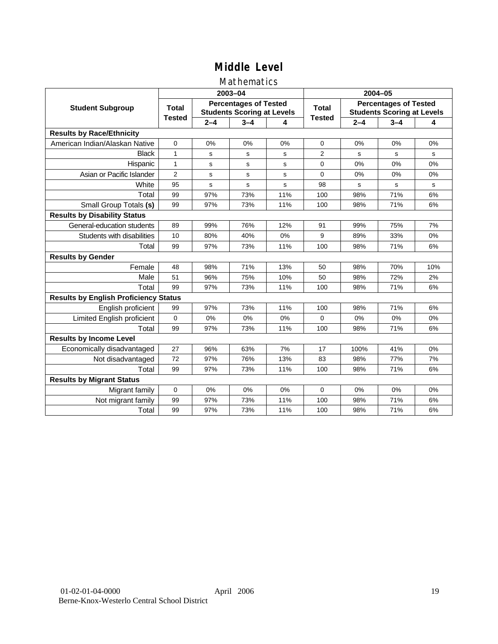### Mathematics

|                                              |                |         | 2003-04                                                           |     | 2004-05        |         |                                                                   |             |
|----------------------------------------------|----------------|---------|-------------------------------------------------------------------|-----|----------------|---------|-------------------------------------------------------------------|-------------|
| <b>Student Subgroup</b>                      | <b>Total</b>   |         | <b>Percentages of Tested</b><br><b>Students Scoring at Levels</b> |     | Total          |         | <b>Percentages of Tested</b><br><b>Students Scoring at Levels</b> |             |
|                                              | <b>Tested</b>  | $2 - 4$ | $3 - 4$                                                           | 4   | <b>Tested</b>  | $2 - 4$ | $3 - 4$                                                           | 4           |
| <b>Results by Race/Ethnicity</b>             |                |         |                                                                   |     |                |         |                                                                   |             |
| American Indian/Alaskan Native               | $\mathbf 0$    | 0%      | 0%                                                                | 0%  | $\mathbf 0$    | 0%      | 0%                                                                | 0%          |
| <b>Black</b>                                 | 1              | s       | s                                                                 | s   | $\overline{2}$ | S       | s                                                                 | s           |
| Hispanic                                     | $\mathbf{1}$   | s       | s                                                                 | s   | 0              | 0%      | 0%                                                                | 0%          |
| Asian or Pacific Islander                    | $\overline{2}$ | s       | s                                                                 | s   | 0              | 0%      | 0%                                                                | 0%          |
| White                                        | 95             | s       | $\mathbf s$                                                       | s   | 98             | s       | $\mathbf s$                                                       | $\mathbf S$ |
| Total                                        | 99             | 97%     | 73%                                                               | 11% | 100            | 98%     | 71%                                                               | 6%          |
| Small Group Totals (s)                       | 99             | 97%     | 73%                                                               | 11% | 100            | 98%     | 71%                                                               | 6%          |
| <b>Results by Disability Status</b>          |                |         |                                                                   |     |                |         |                                                                   |             |
| General-education students                   | 89             | 99%     | 76%                                                               | 12% | 91             | 99%     | 75%                                                               | 7%          |
| Students with disabilities                   | 10             | 80%     | 40%                                                               | 0%  | 9              | 89%     | 33%                                                               | 0%          |
| Total                                        | 99             | 97%     | 73%                                                               | 11% | 100            | 98%     | 71%                                                               | 6%          |
| <b>Results by Gender</b>                     |                |         |                                                                   |     |                |         |                                                                   |             |
| Female                                       | 48             | 98%     | 71%                                                               | 13% | 50             | 98%     | 70%                                                               | 10%         |
| Male                                         | 51             | 96%     | 75%                                                               | 10% | 50             | 98%     | 72%                                                               | 2%          |
| Total                                        | 99             | 97%     | 73%                                                               | 11% | 100            | 98%     | 71%                                                               | 6%          |
| <b>Results by English Proficiency Status</b> |                |         |                                                                   |     |                |         |                                                                   |             |
| English proficient                           | 99             | 97%     | 73%                                                               | 11% | 100            | 98%     | 71%                                                               | 6%          |
| Limited English proficient                   | $\mathbf 0$    | 0%      | 0%                                                                | 0%  | $\Omega$       | 0%      | 0%                                                                | 0%          |
| Total                                        | 99             | 97%     | 73%                                                               | 11% | 100            | 98%     | 71%                                                               | 6%          |
| <b>Results by Income Level</b>               |                |         |                                                                   |     |                |         |                                                                   |             |
| Economically disadvantaged                   | 27             | 96%     | 63%                                                               | 7%  | 17             | 100%    | 41%                                                               | 0%          |
| Not disadvantaged                            | 72             | 97%     | 76%                                                               | 13% | 83             | 98%     | 77%                                                               | 7%          |
| Total                                        | 99             | 97%     | 73%                                                               | 11% | 100            | 98%     | 71%                                                               | 6%          |
| <b>Results by Migrant Status</b>             |                |         |                                                                   |     |                |         |                                                                   |             |
| Migrant family                               | $\mathbf 0$    | 0%      | 0%                                                                | 0%  | $\Omega$       | 0%      | 0%                                                                | 0%          |
| Not migrant family                           | 99             | 97%     | 73%                                                               | 11% | 100            | 98%     | 71%                                                               | 6%          |
| Total                                        | 99             | 97%     | 73%                                                               | 11% | 100            | 98%     | 71%                                                               | 6%          |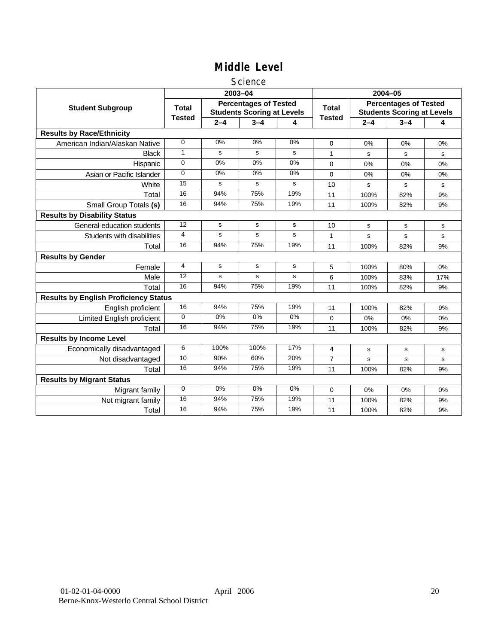### **Science**

|                                              |               | 2003-04 |                                                                   |       |                | 2004-05 |                                                                   |     |  |
|----------------------------------------------|---------------|---------|-------------------------------------------------------------------|-------|----------------|---------|-------------------------------------------------------------------|-----|--|
| <b>Student Subgroup</b>                      | Total         |         | <b>Percentages of Tested</b><br><b>Students Scoring at Levels</b> |       | Total          |         | <b>Percentages of Tested</b><br><b>Students Scoring at Levels</b> |     |  |
|                                              | <b>Tested</b> | $2 - 4$ | $3 - 4$                                                           | 4     | <b>Tested</b>  | $2 - 4$ | $3 - 4$                                                           | 4   |  |
| <b>Results by Race/Ethnicity</b>             |               |         |                                                                   |       |                |         |                                                                   |     |  |
| American Indian/Alaskan Native               | $\Omega$      | 0%      | 0%                                                                | 0%    | $\Omega$       | 0%      | 0%                                                                | 0%  |  |
| <b>Black</b>                                 | 1             | s       | s                                                                 | s     | 1              | s       | s                                                                 | s   |  |
| Hispanic                                     | $\mathbf 0$   | 0%      | 0%                                                                | 0%    | $\Omega$       | 0%      | 0%                                                                | 0%  |  |
| Asian or Pacific Islander                    | $\Omega$      | 0%      | 0%                                                                | 0%    | 0              | 0%      | 0%                                                                | 0%  |  |
| White                                        | 15            | s       | s                                                                 | s     | 10             | s       | s                                                                 | s   |  |
| Total                                        | 16            | 94%     | 75%                                                               | 19%   | 11             | 100%    | 82%                                                               | 9%  |  |
| Small Group Totals (s)                       | 16            | 94%     | 75%                                                               | 19%   | 11             | 100%    | 82%                                                               | 9%  |  |
| <b>Results by Disability Status</b>          |               |         |                                                                   |       |                |         |                                                                   |     |  |
| General-education students                   | 12            | s       | s                                                                 | s     | 10             | s       | s                                                                 | s   |  |
| Students with disabilities                   | 4             | s       | s                                                                 | s     | 1              | s       | s                                                                 | s   |  |
| Total                                        | 16            | 94%     | 75%                                                               | 19%   | 11             | 100%    | 82%                                                               | 9%  |  |
| <b>Results by Gender</b>                     |               |         |                                                                   |       |                |         |                                                                   |     |  |
| Female                                       | 4             | s       | s                                                                 | s     | 5              | 100%    | 80%                                                               | 0%  |  |
| Male                                         | 12            | s       | s                                                                 | s     | 6              | 100%    | 83%                                                               | 17% |  |
| Total                                        | 16            | 94%     | 75%                                                               | 19%   | 11             | 100%    | 82%                                                               | 9%  |  |
| <b>Results by English Proficiency Status</b> |               |         |                                                                   |       |                |         |                                                                   |     |  |
| English proficient                           | 16            | 94%     | 75%                                                               | 19%   | 11             | 100%    | 82%                                                               | 9%  |  |
| Limited English proficient                   | $\Omega$      | $0\%$   | $0\%$                                                             | $0\%$ | 0              | 0%      | 0%                                                                | 0%  |  |
| Total                                        | 16            | 94%     | 75%                                                               | 19%   | 11             | 100%    | 82%                                                               | 9%  |  |
| <b>Results by Income Level</b>               |               |         |                                                                   |       |                |         |                                                                   |     |  |
| Economically disadvantaged                   | 6             | 100%    | 100%                                                              | 17%   | 4              | s       | s                                                                 | s   |  |
| Not disadvantaged                            | 10            | 90%     | 60%                                                               | 20%   | $\overline{7}$ | s       | s                                                                 | s   |  |
| Total                                        | 16            | 94%     | 75%                                                               | 19%   | 11             | 100%    | 82%                                                               | 9%  |  |
| <b>Results by Migrant Status</b>             |               |         |                                                                   |       |                |         |                                                                   |     |  |
| Migrant family                               | $\mathbf 0$   | 0%      | 0%                                                                | 0%    | 0              | 0%      | 0%                                                                | 0%  |  |
| Not migrant family                           | 16            | 94%     | 75%                                                               | 19%   | 11             | 100%    | 82%                                                               | 9%  |  |
| Total                                        | 16            | 94%     | 75%                                                               | 19%   | 11             | 100%    | 82%                                                               | 9%  |  |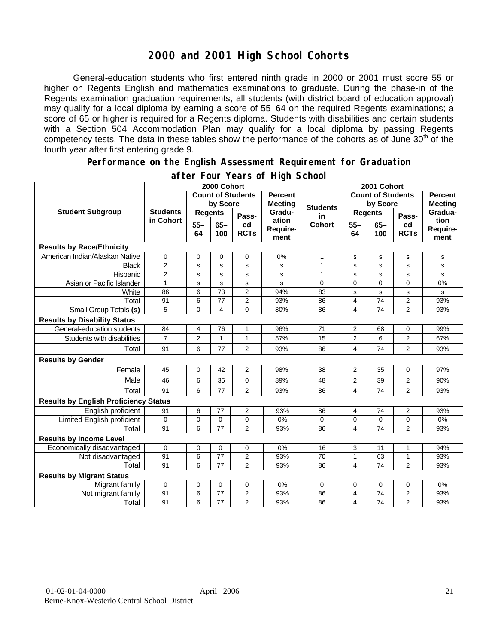## **2000 and 2001 High School Cohorts**

General-education students who first entered ninth grade in 2000 or 2001 must score 55 or higher on Regents English and mathematics examinations to graduate. During the phase-in of the Regents examination graduation requirements, all students (with district board of education approval) may qualify for a local diploma by earning a score of 55–64 on the required Regents examinations; a score of 65 or higher is required for a Regents diploma. Students with disabilities and certain students with a Section 504 Accommodation Plan may qualify for a local diploma by passing Regents competency tests. The data in these tables show the performance of the cohorts as of June 30<sup>th</sup> of the fourth year after first entering grade 9.

#### **Performance on the English Assessment Requirement for Graduation**

|                                              | 2000 Cohort                  |                          |                 |                   |                                  | 2001 Cohort<br><b>Count of Students</b> |                         |                |                   |                          |
|----------------------------------------------|------------------------------|--------------------------|-----------------|-------------------|----------------------------------|-----------------------------------------|-------------------------|----------------|-------------------|--------------------------|
| <b>Student Subgroup</b>                      |                              | <b>Count of Students</b> |                 |                   | <b>Percent</b><br><b>Meeting</b> |                                         | <b>Percent</b>          |                |                   |                          |
|                                              | <b>Students</b><br>in Cohort | by Score                 |                 |                   |                                  | <b>Students</b>                         | by Score                |                | <b>Meeting</b>    |                          |
|                                              |                              | <b>Regents</b>           |                 | Pass-             | Gradu-                           | in                                      | <b>Regents</b>          |                | Pass-             | Gradua-                  |
|                                              |                              | $55 -$<br>64             | $65 -$<br>100   | ed<br><b>RCTs</b> | ation<br>Require-<br>ment        | <b>Cohort</b>                           | $55 -$<br>64            | $65-$<br>100   | ed<br><b>RCTs</b> | tion<br>Require-<br>ment |
| <b>Results by Race/Ethnicity</b>             |                              |                          |                 |                   |                                  |                                         |                         |                |                   |                          |
| American Indian/Alaskan Native               | $\mathbf 0$                  | $\mathbf 0$              | 0               | 0                 | 0%                               | $\mathbf{1}$                            | $\mathbf s$             | $\mathbf s$    | s                 | $\mathbf s$              |
| <b>Black</b>                                 | $\overline{2}$               | s                        | s               | s                 | s                                | $\mathbf{1}$                            | s                       | s              | s                 | s                        |
| Hispanic                                     | $\mathbf{2}$                 | s                        | s               | s                 | s                                | $\mathbf{1}$                            | s                       | s              | s                 | s                        |
| Asian or Pacific Islander                    | $\mathbf{1}$                 | s                        | s               | s                 | s                                | 0                                       | $\mathbf{0}$            | $\overline{0}$ | 0                 | 0%                       |
| White                                        | 86                           | $\,6$                    | $\overline{73}$ | $\overline{2}$    | 94%                              | 83                                      | s                       | $\mathbf s$    | s                 | s                        |
| Total                                        | 91                           | $\,6$                    | 77              | $\overline{2}$    | 93%                              | 86                                      | $\overline{4}$          | 74             | $\overline{2}$    | 93%                      |
| Small Group Totals (s)                       | 5                            | $\mathbf 0$              | 4               | $\overline{0}$    | 80%                              | 86                                      | 4                       | 74             | $\overline{2}$    | 93%                      |
| <b>Results by Disability Status</b>          |                              |                          |                 |                   |                                  |                                         |                         |                |                   |                          |
| General-education students                   | 84                           | 4                        | 76              | 1                 | 96%                              | 71                                      | 2                       | 68             | 0                 | 99%                      |
| Students with disabilities                   | $\overline{7}$               | $\boldsymbol{2}$         | $\mathbf{1}$    | $\mathbf{1}$      | 57%                              | 15                                      | $\overline{2}$          | 6              | 2                 | 67%                      |
| Total                                        | 91                           | 6                        | 77              | 2                 | 93%                              | 86                                      | 4                       | 74             | 2                 | 93%                      |
| <b>Results by Gender</b>                     |                              |                          |                 |                   |                                  |                                         |                         |                |                   |                          |
| Female                                       | 45                           | $\mathbf 0$              | 42              | $\overline{2}$    | 98%                              | 38                                      | 2                       | 35             | $\mathbf 0$       | 97%                      |
| Male                                         | 46                           | 6                        | 35              | 0                 | 89%                              | 48                                      | 2                       | 39             | 2                 | 90%                      |
| Total                                        | 91                           | 6                        | 77              | $\overline{2}$    | 93%                              | 86                                      | 4                       | 74             | $\overline{2}$    | 93%                      |
| <b>Results by English Proficiency Status</b> |                              |                          |                 |                   |                                  |                                         |                         |                |                   |                          |
| English proficient                           | 91                           | 6                        | 77              | 2                 | 93%                              | 86                                      | 4                       | 74             | 2                 | 93%                      |
| Limited English proficient                   | $\mathbf 0$                  | $\mathbf 0$              | $\mathbf 0$     | $\mathbf 0$       | 0%                               | 0                                       | $\mathbf 0$             | 0              | 0                 | 0%                       |
| Total                                        | 91                           | 6                        | 77              | $\overline{2}$    | 93%                              | 86                                      | 4                       | 74             | $\overline{2}$    | 93%                      |
| <b>Results by Income Level</b>               |                              |                          |                 |                   |                                  |                                         |                         |                |                   |                          |
| Economically disadvantaged                   | $\mathbf 0$                  | $\mathbf 0$              | $\mathbf 0$     | $\mathbf 0$       | 0%                               | 16                                      | 3                       | 11             | $\mathbf{1}$      | 94%                      |
| Not disadvantaged                            | 91                           | 6                        | 77              | $\overline{2}$    | 93%                              | 70                                      | $\mathbf{1}$            | 63             | $\mathbf{1}$      | 93%                      |
| Total                                        | 91                           | 6                        | 77              | $\overline{2}$    | 93%                              | 86                                      | 4                       | 74             | $\overline{2}$    | 93%                      |
| <b>Results by Migrant Status</b>             |                              |                          |                 |                   |                                  |                                         |                         |                |                   |                          |
| Migrant family                               | $\mathbf 0$                  | 0                        | 0               | $\mathbf 0$       | 0%                               | 0                                       | 0                       | 0              | 0                 | 0%                       |
| Not migrant family                           | 91                           | 6                        | 77              | 2                 | 93%                              | 86                                      | $\overline{\mathbf{4}}$ | 74             | 2                 | 93%                      |
| Total                                        | 91                           | 6                        | 77              | $\overline{2}$    | 93%                              | 86                                      | 4                       | 74             | $\overline{2}$    | 93%                      |

### **after Four Years of High School**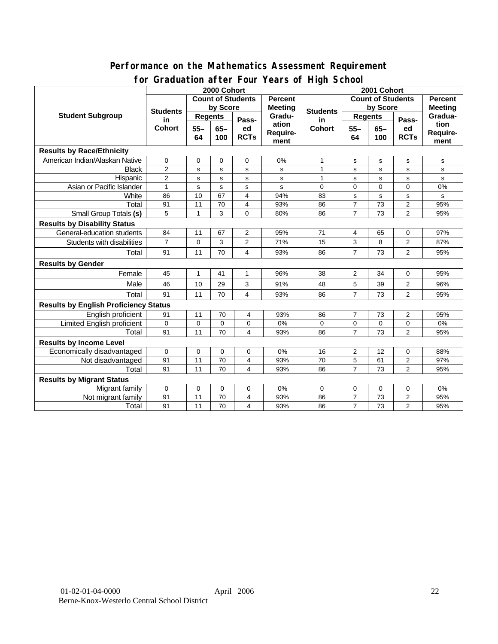### **Performance on the Mathematics Assessment Requirement for Graduation after Four Years of High School**

|                                              | <u><b>Dragation artor roar roars or right conoon</b></u><br>2000 Cohort |                                            |             |                            |                   | 2001 Cohort                                |                |             |                            |                |
|----------------------------------------------|-------------------------------------------------------------------------|--------------------------------------------|-------------|----------------------------|-------------------|--------------------------------------------|----------------|-------------|----------------------------|----------------|
| <b>Student Subgroup</b>                      |                                                                         | <b>Count of Students</b><br><b>Percent</b> |             |                            |                   | <b>Count of Students</b><br><b>Percent</b> |                |             |                            |                |
|                                              | <b>Students</b><br>in<br><b>Cohort</b>                                  | by Score                                   |             |                            | <b>Meeting</b>    |                                            | by Score       |             |                            | <b>Meeting</b> |
|                                              |                                                                         | <b>Regents</b>                             |             |                            | Gradu-            | <b>Students</b><br>in                      | <b>Regents</b> |             |                            | Gradua-        |
|                                              |                                                                         | $55 -$<br>$65-$<br>64<br>100               |             | Pass-<br>ed<br><b>RCTs</b> | ation<br>Require- | <b>Cohort</b>                              | $55 -$         | $65-$       | Pass-<br>ed<br><b>RCTs</b> | tion           |
|                                              |                                                                         |                                            |             |                            |                   |                                            | 64             | 100         |                            | Require-       |
|                                              |                                                                         |                                            |             | ment                       |                   |                                            |                |             | ment                       |                |
| <b>Results by Race/Ethnicity</b>             |                                                                         |                                            |             |                            |                   |                                            |                |             |                            |                |
| American Indian/Alaskan Native               | $\mathbf 0$                                                             | 0                                          | 0           | 0                          | 0%                | 1                                          | s              | s           | ${\tt s}$                  | s              |
| <b>Black</b>                                 | $\overline{2}$                                                          | s                                          | s           | s                          | s                 | $\mathbf{1}$                               | s              | s           | s                          | s              |
| Hispanic                                     | $\overline{2}$                                                          | s                                          | s           | s                          | s                 | $\mathbf{1}$                               | s              | s           | s                          | s              |
| Asian or Pacific Islander                    | $\mathbf{1}$                                                            | s                                          | s           | s                          | s                 | 0                                          | 0              | $\mathbf 0$ | $\Omega$                   | 0%             |
| White                                        | 86                                                                      | 10                                         | 67          | $\overline{4}$             | 94%               | 83                                         | s              | s           | s                          | s              |
| Total                                        | 91                                                                      | 11                                         | 70          | 4                          | 93%               | 86                                         | $\overline{7}$ | 73          | $\overline{2}$             | 95%            |
| <b>Small Group Totals (s)</b>                | 5                                                                       | 1                                          | 3           | 0                          | 80%               | 86                                         | $\overline{7}$ | 73          | $\overline{2}$             | 95%            |
| <b>Results by Disability Status</b>          |                                                                         |                                            |             |                            |                   |                                            |                |             |                            |                |
| General-education students                   | 84                                                                      | 11                                         | 67          | $\overline{2}$             | 95%               | 71                                         | 4              | 65          | 0                          | 97%            |
| Students with disabilities                   | $\overline{7}$                                                          | $\mathbf 0$                                | 3           | 2                          | 71%               | 15                                         | 3              | 8           | $\overline{2}$             | 87%            |
| Total                                        | 91                                                                      | 11                                         | 70          | 4                          | 93%               | 86                                         | $\overline{7}$ | 73          | $\overline{2}$             | 95%            |
| <b>Results by Gender</b>                     |                                                                         |                                            |             |                            |                   |                                            |                |             |                            |                |
| Female                                       | 45                                                                      | $\mathbf{1}$                               | 41          | $\mathbf{1}$               | 96%               | 38                                         | $\overline{2}$ | 34          | $\mathbf 0$                | 95%            |
| Male                                         | 46                                                                      | 10                                         | 29          | 3                          | 91%               | 48                                         | 5              | 39          | $\overline{2}$             | 96%            |
| Total                                        | 91                                                                      | 11                                         | 70          | 4                          | 93%               | 86                                         | $\overline{7}$ | 73          | $\overline{2}$             | 95%            |
| <b>Results by English Proficiency Status</b> |                                                                         |                                            |             |                            |                   |                                            |                |             |                            |                |
| English proficient                           | 91                                                                      | 11                                         | 70          | 4                          | 93%               | 86                                         | 7              | 73          | $\overline{2}$             | 95%            |
| Limited English proficient                   | $\mathbf 0$                                                             | $\mathbf 0$                                | $\mathbf 0$ | 0                          | 0%                | $\Omega$                                   | 0              | $\mathbf 0$ | 0                          | 0%             |
| Total                                        | 91                                                                      | 11                                         | 70          | 4                          | 93%               | 86                                         | $\overline{7}$ | 73          | $\overline{2}$             | 95%            |
| <b>Results by Income Level</b>               |                                                                         |                                            |             |                            |                   |                                            |                |             |                            |                |
| Economically disadvantaged                   | 0                                                                       | 0                                          | 0           | 0                          | 0%                | 16                                         | 2              | 12          | 0                          | 88%            |
| Not disadvantaged                            | 91                                                                      | 11                                         | 70          | 4                          | 93%               | 70                                         | 5              | 61          | 2                          | 97%            |
| Total                                        | 91                                                                      | 11                                         | 70          | 4                          | 93%               | 86                                         | $\overline{7}$ | 73          | $\overline{2}$             | 95%            |
| <b>Results by Migrant Status</b>             |                                                                         |                                            |             |                            |                   |                                            |                |             |                            |                |
| Migrant family                               | $\mathbf 0$                                                             | 0                                          | 0           | 0                          | 0%                | 0                                          | 0              | $\mathbf 0$ | 0                          | 0%             |
| Not migrant family                           | 91                                                                      | 11                                         | 70          | 4                          | 93%               | 86                                         | $\overline{7}$ | 73          | $\mathbf{2}$               | 95%            |
| Total                                        | 91                                                                      | 11                                         | 70          | 4                          | 93%               | 86                                         | $\overline{7}$ | 73          | $\overline{2}$             | 95%            |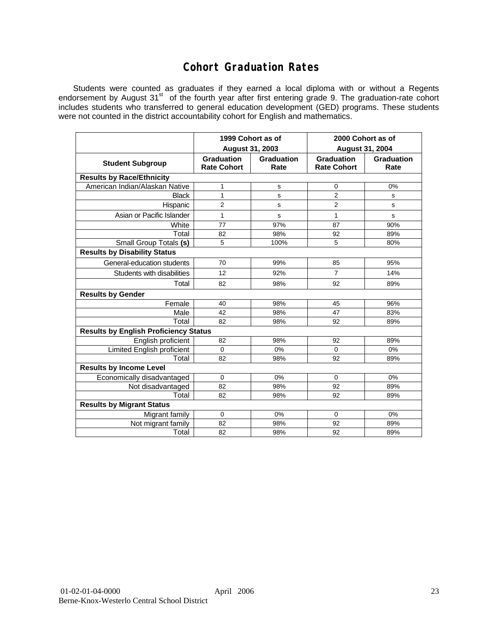## **Cohort Graduation Rates**

Students were counted as graduates if they earned a local diploma with or without a Regents endorsement by August 31<sup>st</sup> of the fourth year after first entering grade 9. The graduation-rate cohort includes students who transferred to general education development (GED) programs. These students were not counted in the district accountability cohort for English and mathematics.

|                                              | <b>August 31, 2003</b>                  | 1999 Cohort as of  | 2000 Cohort as of<br><b>August 31, 2004</b> |                    |  |  |  |  |  |
|----------------------------------------------|-----------------------------------------|--------------------|---------------------------------------------|--------------------|--|--|--|--|--|
| <b>Student Subgroup</b>                      | <b>Graduation</b><br><b>Rate Cohort</b> | Graduation<br>Rate | <b>Graduation</b><br><b>Rate Cohort</b>     | Graduation<br>Rate |  |  |  |  |  |
| <b>Results by Race/Ethnicity</b>             |                                         |                    |                                             |                    |  |  |  |  |  |
| American Indian/Alaskan Native               | 1                                       | s                  | $\Omega$                                    | 0%                 |  |  |  |  |  |
| <b>Black</b>                                 | 1                                       | s                  | $\overline{2}$                              | s                  |  |  |  |  |  |
| Hispanic                                     | $\overline{2}$                          | s                  | $\overline{2}$                              | s                  |  |  |  |  |  |
| Asian or Pacific Islander                    | 1                                       | s                  | 1                                           | S                  |  |  |  |  |  |
| White                                        | 77                                      | 97%                | 87                                          | 90%                |  |  |  |  |  |
| Total                                        | 82                                      | 98%                | 92                                          | 89%                |  |  |  |  |  |
| Small Group Totals (s)                       | 5                                       | 100%               | 5                                           | 80%                |  |  |  |  |  |
| <b>Results by Disability Status</b>          |                                         |                    |                                             |                    |  |  |  |  |  |
| General-education students                   | 70                                      | 99%                | 85                                          | 95%                |  |  |  |  |  |
| Students with disabilities                   | 12                                      | 92%                | $\overline{7}$                              | 14%                |  |  |  |  |  |
| Total                                        | 82                                      | 98%                | 92                                          | 89%                |  |  |  |  |  |
| <b>Results by Gender</b>                     |                                         |                    |                                             |                    |  |  |  |  |  |
| Female                                       | 40                                      | 98%                | 45                                          | 96%                |  |  |  |  |  |
| Male                                         | 42                                      | 98%                | 47                                          | 83%                |  |  |  |  |  |
| Total                                        | 82                                      | 98%                | 92                                          | 89%                |  |  |  |  |  |
| <b>Results by English Proficiency Status</b> |                                         |                    |                                             |                    |  |  |  |  |  |
| English proficient                           | 82                                      | 98%                | 92                                          | 89%                |  |  |  |  |  |
| <b>Limited English proficient</b>            | 0                                       | 0%                 | 0                                           | 0%                 |  |  |  |  |  |
| Total                                        | 82                                      | 98%                | 92                                          | 89%                |  |  |  |  |  |
| <b>Results by Income Level</b>               |                                         |                    |                                             |                    |  |  |  |  |  |
| Economically disadvantaged                   | 0                                       | 0%                 | $\mathbf 0$                                 | 0%                 |  |  |  |  |  |
| Not disadvantaged                            | 82                                      | 98%                | 92                                          | 89%                |  |  |  |  |  |
| Total                                        | 82                                      | 98%                | 92                                          | 89%                |  |  |  |  |  |
| <b>Results by Migrant Status</b>             |                                         |                    |                                             |                    |  |  |  |  |  |
| Migrant family                               | $\mathbf 0$                             | 0%                 | $\mathbf 0$                                 | 0%                 |  |  |  |  |  |
| Not migrant family                           | 82                                      | 98%                | 92                                          | 89%                |  |  |  |  |  |
| Total                                        | 82                                      | 98%                | 92                                          | 89%                |  |  |  |  |  |